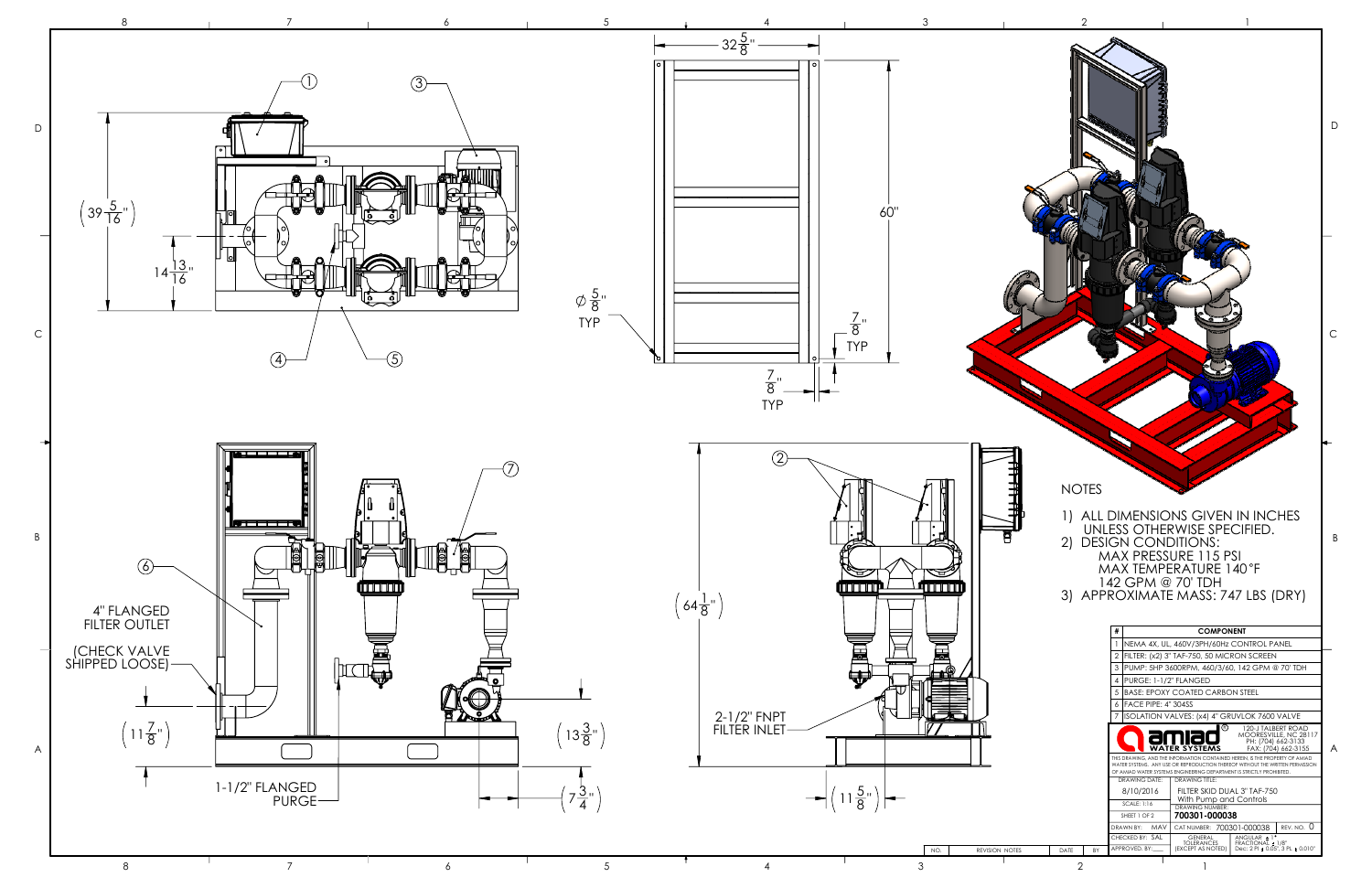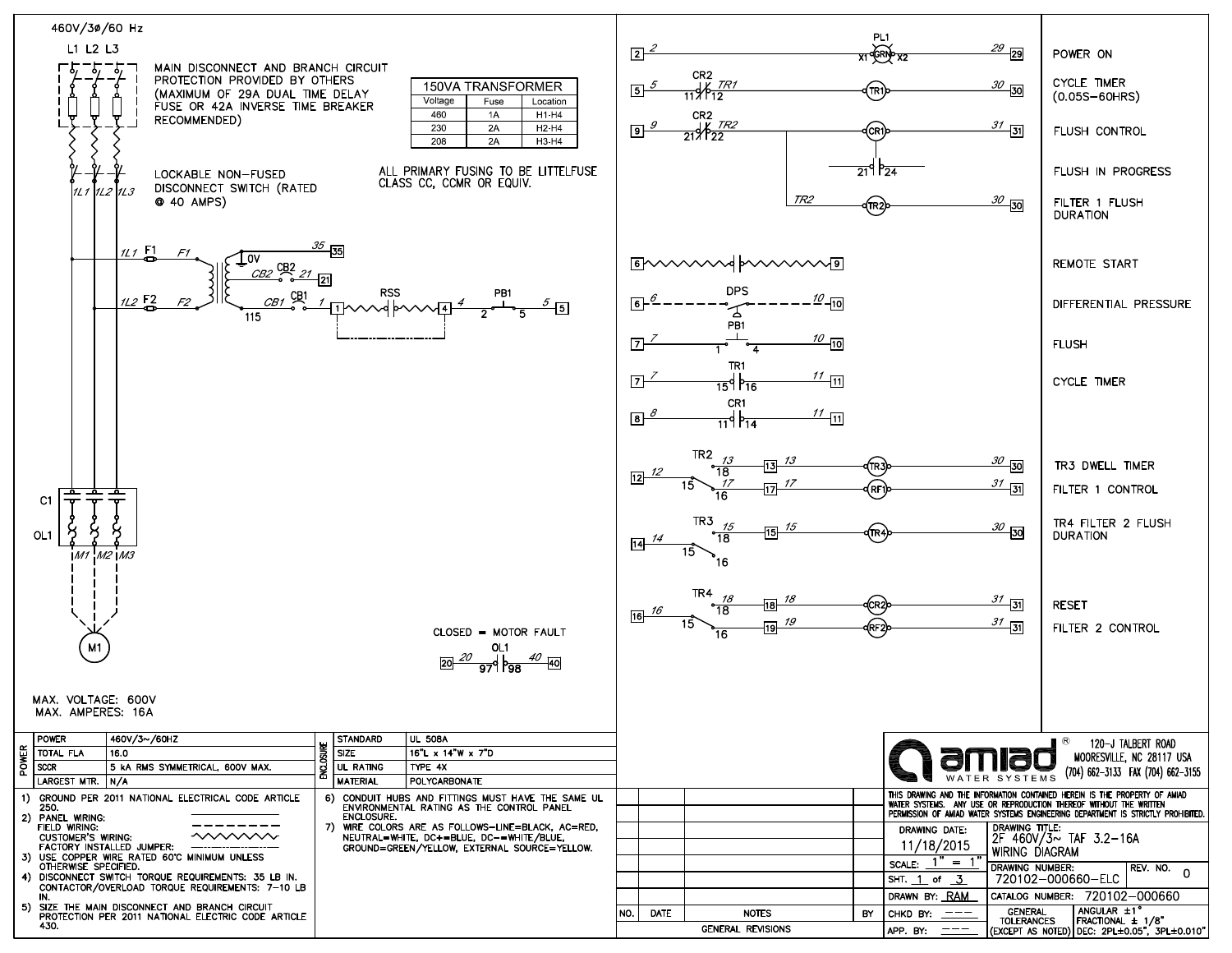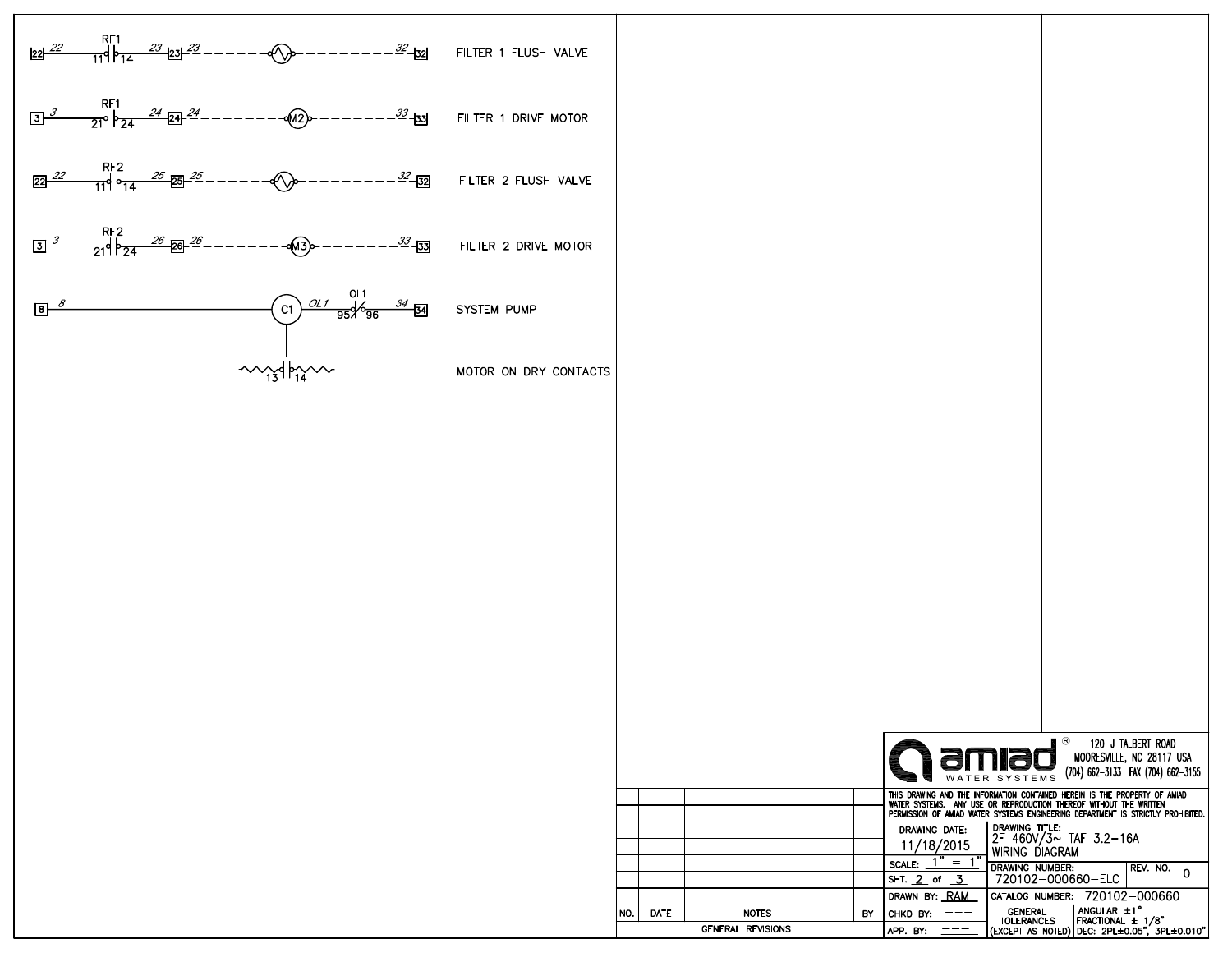